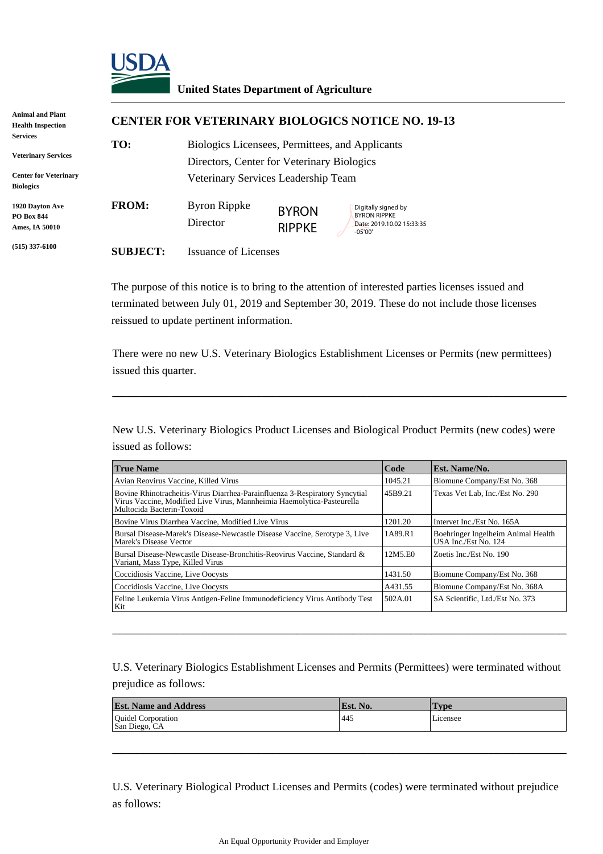

## **United States Department of Agriculture**

| <b>Animal and Plant</b><br><b>Health Inspection</b>                                        |                 | <b>CENTER FOR VETERINARY BIOLOGICS NOTICE NO. 19-13</b>                                                                              |                               |                                                                                      |  |  |
|--------------------------------------------------------------------------------------------|-----------------|--------------------------------------------------------------------------------------------------------------------------------------|-------------------------------|--------------------------------------------------------------------------------------|--|--|
| Services<br><b>Veterinary Services</b><br><b>Center for Veterinary</b><br><b>Biologics</b> | TO:             | Biologics Licensees, Permittees, and Applicants<br>Directors, Center for Veterinary Biologics<br>Veterinary Services Leadership Team |                               |                                                                                      |  |  |
| 1920 Davton Ave<br><b>PO Box 844</b><br>Ames, IA 50010                                     | <b>FROM:</b>    | <b>Byron Rippke</b><br>Director                                                                                                      | <b>BYRON</b><br><b>RIPPKE</b> | Digitally signed by<br><b>BYRON RIPPKE</b><br>Date: 2019.10.02 15:33:35<br>$-05'00'$ |  |  |
| $(515)$ 337-6100                                                                           | <b>SUBJECT:</b> | <b>Issuance of Licenses</b>                                                                                                          |                               |                                                                                      |  |  |

The purpose of this notice is to bring to the attention of interested parties licenses issued and terminated between July 01, 2019 and September 30, 2019. These do not include those licenses reissued to update pertinent information.

There were no new U.S. Veterinary Biologics Establishment Licenses or Permits (new permittees) issued this quarter.

\_\_\_\_\_\_\_\_\_\_\_\_\_\_\_\_\_\_\_\_\_\_\_\_\_\_\_\_\_\_\_\_\_\_\_\_\_\_\_\_\_\_\_\_\_\_\_\_\_\_\_\_\_\_\_\_\_\_\_\_\_\_\_\_

New U.S. Veterinary Biologics Product Licenses and Biological Product Permits (new codes) were issued as follows:

| <b>True Name</b>                                                                                                                                                                   |         | Est. Name/No.                                              |  |
|------------------------------------------------------------------------------------------------------------------------------------------------------------------------------------|---------|------------------------------------------------------------|--|
| Avian Reovirus Vaccine, Killed Virus                                                                                                                                               |         | Biomune Company/Est No. 368                                |  |
| Bovine Rhinotracheitis-Virus Diarrhea-Parainfluenza 3-Respiratory Syncytial<br>Virus Vaccine, Modified Live Virus, Mannheimia Haemolytica-Pasteurella<br>Multocida Bacterin-Toxoid |         | Texas Vet Lab, Inc./Est No. 290                            |  |
| Bovine Virus Diarrhea Vaccine, Modified Live Virus                                                                                                                                 | 1201.20 | Intervet Inc./Est No. 165A                                 |  |
| Bursal Disease-Marek's Disease-Newcastle Disease Vaccine, Serotype 3, Live<br>Marek's Disease Vector                                                                               |         | Boehringer Ingelheim Animal Health<br>USA Inc./Est No. 124 |  |
| Bursal Disease-Newcastle Disease-Bronchitis-Reovirus Vaccine, Standard &<br>Variant, Mass Type, Killed Virus                                                                       | 12M5.E0 | Zoetis Inc./Est No. 190                                    |  |
| Coccidiosis Vaccine, Live Oocysts                                                                                                                                                  | 1431.50 | Biomune Company/Est No. 368                                |  |
| Coccidiosis Vaccine, Live Oocysts                                                                                                                                                  | A431.55 | Biomune Company/Est No. 368A                               |  |
| Feline Leukemia Virus Antigen-Feline Immunodeficiency Virus Antibody Test<br>Kit                                                                                                   |         | SA Scientific. Ltd./Est No. 373                            |  |

U.S. Veterinary Biologics Establishment Licenses and Permits (Permittees) were terminated without prejudice as follows:

\_\_\_\_\_\_\_\_\_\_\_\_\_\_\_\_\_\_\_\_\_\_\_\_\_\_\_\_\_\_\_\_\_\_\_\_\_\_\_\_\_\_\_\_\_\_\_\_\_\_\_\_\_\_\_\_\_\_\_\_\_\_\_\_

| <b>Est. Name and Address</b>               | Est. No. | <b>Type</b> |
|--------------------------------------------|----------|-------------|
| <b>Ouidel Corporation</b><br>San Diego, CA | 445      | Licensee    |

\_\_\_\_\_\_\_\_\_\_\_\_\_\_\_\_\_\_\_\_\_\_\_\_\_\_\_\_\_\_\_\_\_\_\_\_\_\_\_\_\_\_\_\_\_\_\_\_\_\_\_\_\_\_\_\_\_\_\_\_\_\_\_\_

U.S. Veterinary Biological Product Licenses and Permits (codes) were terminated without prejudice as follows: